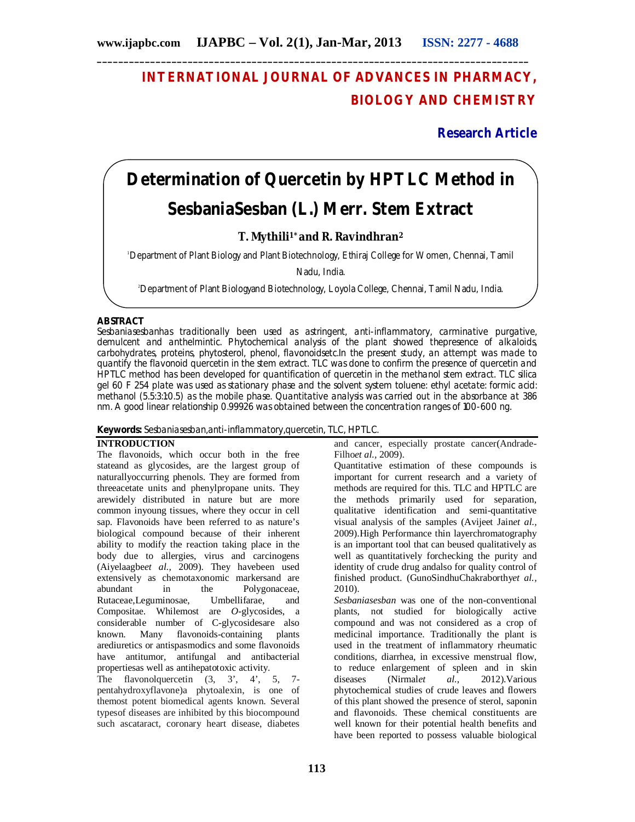## **INTERNATIONAL JOURNAL OF ADVANCES IN PHARMACY, BIOLOGY AND CHEMISTRY**

**Research Article**

# **Determination of Quercetin by HPTLC Method in**  *SesbaniaSesban* **(L.) Merr. Stem Extract**

### **T. Mythili1\* and R. Ravindhran<sup>2</sup>**

<sup>1</sup>Department of Plant Biology and Plant Biotechnology, Ethiraj College for Women, Chennai, Tamil

Nadu, India.

2Department of Plant Biologyand Biotechnology, Loyola College, Chennai, Tamil Nadu, India.

#### **ABSTRACT**

*Sesbaniasesban*has traditionally been used as astringent, anti-inflammatory, carminative purgative, demulcent and anthelmintic. Phytochemical analysis of the plant showed thepresence of alkaloids, carbohydrates, proteins, phytosterol, phenol, flavonoidsetc.In the present study, an attempt was made to quantify the flavonoid quercetin in the stem extract. TLC was done to confirm the presence of quercetin and HPTLC method has been developed for quantification of quercetin in the methanol stem extract. TLC silica gel 60 F 254 plate was used as stationary phase and the solvent system toluene: ethyl acetate: formic acid: methanol (5.5:3:1:0.5) as the mobile phase. Quantitative analysis was carried out in the absorbance at 386 nm. A good linear relationship 0.99926 was obtained between the concentration ranges of 100-600 ng.

#### **Keywords:** *Sesbaniasesban*,anti-inflammatory,quercetin, TLC, HPTLC.

#### **INTRODUCTION**

The flavonoids, which occur both in the free stateand as glycosides, are the largest group of naturallyoccurring phenols. They are formed from threeacetate units and phenylpropane units. They arewidely distributed in nature but are more common inyoung tissues, where they occur in cell sap. Flavonoids have been referred to as nature's biological compound because of their inherent ability to modify the reaction taking place in the body due to allergies, virus and carcinogens (Aiyelaagbe*et al.,* 2009). They havebeen used extensively as chemotaxonomic markersand are abundant in the Polygonaceae, Rutaceae,Leguminosae, Umbellifarae, and Compositae. Whilemost are *O*-glycosides, a considerable number of C-glycosidesare also known. Many flavonoids-containing plants arediuretics or antispasmodics and some flavonoids have antitumor, antifungal and antibacterial propertiesas well as antihepatotoxic activity.

The flavonolquercetin (3, 3', 4', 5, 7pentahydroxyflavone)a phytoalexin, is one of themost potent biomedical agents known. Several typesof diseases are inhibited by this biocompound such ascataract, coronary heart disease, diabetes

and cancer, especially prostate cancer(Andrade-Filho*et al.,* 2009).

Quantitative estimation of these compounds is important for current research and a variety of methods are required for this. TLC and HPTLC are the methods primarily used for separation, qualitative identification and semi-quantitative visual analysis of the samples (Avijeet Jain*et al.,* 2009).High Performance thin layerchromatography is an important tool that can beused qualitatively as well as quantitatively forchecking the purity and identity of crude drug andalso for quality control of finished product. (GunoSindhuChakraborthy*et al.,*  2010).

*Sesbaniasesban* was one of the non-conventional plants, not studied for biologically active compound and was not considered as a crop of medicinal importance. Traditionally the plant is used in the treatment of inflammatory rheumatic conditions, diarrhea, in excessive menstrual flow, to reduce enlargement of spleen and in skin diseases (Nirmalet  $al$ , 2012). Various 2012). Various phytochemical studies of crude leaves and flowers of this plant showed the presence of sterol, saponin and flavonoids. These chemical constituents are well known for their potential health benefits and have been reported to possess valuable biological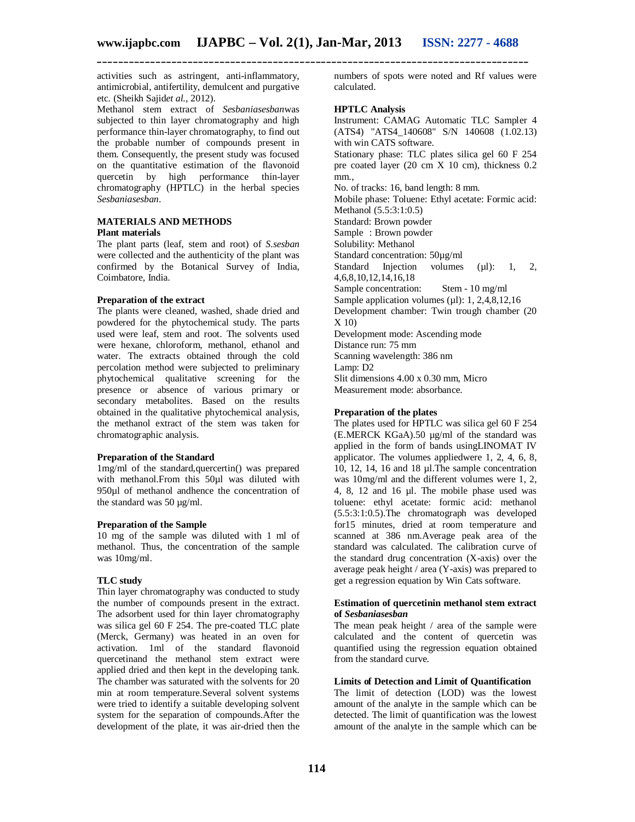activities such as astringent, anti-inflammatory, antimicrobial, antifertility, demulcent and purgative etc. (Sheikh Sajid*et al.,* 2012).

Methanol stem extract of *Sesbaniasesban*was subjected to thin layer chromatography and high performance thin-layer chromatography, to find out the probable number of compounds present in them. Consequently, the present study was focused on the quantitative estimation of the flavonoid quercetin by high performance thin-layer chromatography (HPTLC) in the herbal species *Sesbaniasesban*.

#### **MATERIALS AND METHODS Plant materials**

The plant parts (leaf, stem and root) of *S.sesban* were collected and the authenticity of the plant was confirmed by the Botanical Survey of India, Coimbatore, India.

#### **Preparation of the extract**

The plants were cleaned, washed, shade dried and powdered for the phytochemical study. The parts used were leaf, stem and root. The solvents used were hexane, chloroform, methanol, ethanol and water. The extracts obtained through the cold percolation method were subjected to preliminary phytochemical qualitative screening for the presence or absence of various primary or secondary metabolites. Based on the results obtained in the qualitative phytochemical analysis, the methanol extract of the stem was taken for chromatographic analysis.

#### **Preparation of the Standard**

1mg/ml of the standard,quercertin() was prepared with methanol.From this 50ul was diluted with 950µl of methanol andhence the concentration of the standard was 50 µg/ml.

#### **Preparation of the Sample**

10 mg of the sample was diluted with 1 ml of methanol. Thus, the concentration of the sample was 10mg/ml.

#### **TLC study**

Thin layer chromatography was conducted to study the number of compounds present in the extract. The adsorbent used for thin layer chromatography was silica gel 60 F 254. The pre-coated TLC plate (Merck, Germany) was heated in an oven for activation. 1ml of the standard flavonoid quercetinand the methanol stem extract were applied dried and then kept in the developing tank. The chamber was saturated with the solvents for 20 min at room temperature.Several solvent systems were tried to identify a suitable developing solvent system for the separation of compounds.After the development of the plate, it was air-dried then the numbers of spots were noted and Rf values were calculated.

#### **HPTLC Analysis**

Instrument: CAMAG Automatic TLC Sampler 4 (ATS4) "ATS4\_140608" S/N 140608 (1.02.13) with win CATS software. Stationary phase: TLC plates silica gel 60 F 254 pre coated layer (20 cm X 10 cm), thickness 0.2 mm., No. of tracks: 16, band length: 8 mm. Mobile phase: Toluene: Ethyl acetate: Formic acid: Methanol (5.5:3:1:0.5) Standard: Brown powder Sample : Brown powder Solubility: Methanol Standard concentration: 50µg/ml Standard Injection volumes  $(\mu l)$ : 1, 2, 4,6,8,10,12,14,16,18 Sample concentration: Stem - 10 mg/ml Sample application volumes  $(\mu l)$ : 1, 2,4,8,12,16 Development chamber: Twin trough chamber (20 X 10) Development mode: Ascending mode Distance run: 75 mm Scanning wavelength: 386 nm Lamp: D2 Slit dimensions 4.00 x 0.30 mm, Micro Measurement mode: absorbance.

#### **Preparation of the plates**

The plates used for HPTLC was silica gel 60 F 254 (E.MERCK KGaA).50 µg/ml of the standard was applied in the form of bands usingLINOMAT IV applicator. The volumes appliedwere 1, 2, 4, 6, 8, 10, 12, 14, 16 and 18 µl.The sample concentration was 10mg/ml and the different volumes were 1, 2, 4, 8, 12 and 16 µl. The mobile phase used was toluene: ethyl acetate: formic acid: methanol (5.5:3:1:0.5).The chromatograph was developed for15 minutes, dried at room temperature and scanned at 386 nm.Average peak area of the standard was calculated. The calibration curve of the standard drug concentration (X-axis) over the average peak height / area (Y-axis) was prepared to get a regression equation by Win Cats software.

#### **Estimation of quercetinin methanol stem extract of** *Sesbaniasesban*

The mean peak height / area of the sample were calculated and the content of quercetin was quantified using the regression equation obtained from the standard curve.

#### **Limits of Detection and Limit of Quantification**

The limit of detection (LOD) was the lowest amount of the analyte in the sample which can be detected. The limit of quantification was the lowest amount of the analyte in the sample which can be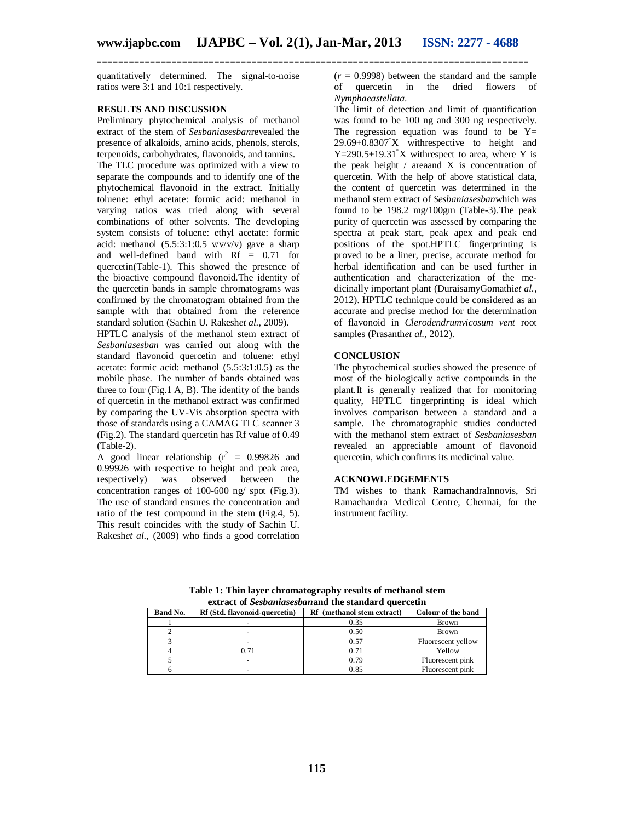quantitatively determined. The signal-to-noise ratios were 3:1 and 10:1 respectively.

#### **RESULTS AND DISCUSSION**

Preliminary phytochemical analysis of methanol extract of the stem of *Sesbaniasesban*revealed the presence of alkaloids, amino acids, phenols, sterols, terpenoids, carbohydrates, flavonoids, and tannins. The TLC procedure was optimized with a view to separate the compounds and to identify one of the phytochemical flavonoid in the extract. Initially toluene: ethyl acetate: formic acid: methanol in varying ratios was tried along with several combinations of other solvents. The developing system consists of toluene: ethyl acetate: formic acid: methanol  $(5.5:3:1:0.5 \text{ V/V/V})$  gave a sharp and well-defined band with Rf = 0.71 for quercetin(Table-1). This showed the presence of the bioactive compound flavonoid.The identity of the quercetin bands in sample chromatograms was confirmed by the chromatogram obtained from the sample with that obtained from the reference standard solution (Sachin U. Rakesh*et al.,* 2009).

HPTLC analysis of the methanol stem extract of *Sesbaniasesban* was carried out along with the standard flavonoid quercetin and toluene: ethyl acetate: formic acid: methanol (5.5:3:1:0.5) as the mobile phase. The number of bands obtained was three to four  $(Fig.1 A, B)$ . The identity of the bands of quercetin in the methanol extract was confirmed by comparing the UV-Vis absorption spectra with those of standards using a CAMAG TLC scanner 3 (Fig.2). The standard quercetin has Rf value of 0.49 (Table-2).

A good linear relationship ( $r^2 = 0.99826$  and 0.99926 with respective to height and peak area, respectively) was observed between the concentration ranges of 100-600 ng/ spot (Fig.3). The use of standard ensures the concentration and ratio of the test compound in the stem (Fig.4, 5). This result coincides with the study of Sachin U. Rakesh*et al.,* (2009) who finds a good correlation

 $(r = 0.9998)$  between the standard and the sample of quercetin in the dried flowers of *Nymphaeastellata*.

The limit of detection and limit of quantification was found to be 100 ng and 300 ng respectively. The regression equation was found to be  $Y=$  $29.69+0.8307^*X$  withrespective to height and  $Y=290.5+19.31^{\circ}X$  withrespect to area, where Y is the peak height / areaand X is concentration of quercetin. With the help of above statistical data, the content of quercetin was determined in the methanol stem extract of *Sesbaniasesban*which was found to be 198.2 mg/100gm (Table-3).The peak purity of quercetin was assessed by comparing the spectra at peak start, peak apex and peak end positions of the spot.HPTLC fingerprinting is proved to be a liner, precise, accurate method for herbal identification and can be used further in authentication and characterization of the medicinally important plant (DuraisamyGomathi*et al.,* 2012). HPTLC technique could be considered as an accurate and precise method for the determination of flavonoid in *Clerodendrumvicosum vent* root samples (Prasanth*et al.,* 2012).

#### **CONCLUSION**

The phytochemical studies showed the presence of most of the biologically active compounds in the plant.It is generally realized that for monitoring quality, HPTLC fingerprinting is ideal which involves comparison between a standard and a sample. The chromatographic studies conducted with the methanol stem extract of *Sesbaniasesban* revealed an appreciable amount of flavonoid quercetin, which confirms its medicinal value.

#### **ACKNOWLEDGEMENTS**

TM wishes to thank RamachandraInnovis, Sri Ramachandra Medical Centre, Chennai, for the instrument facility.

**extract of** *Sesbaniasesban* **and the standard quercetin<br>
<b>Example 3** (Std. flavonoid-quercetin) Ref (methanol stem extract) Colour of the band **Band No. Rf** (Std. flavonoid-quercetin) 1 1 - 0.35 Brown 2 - 1 0.50 Brown 3 1 - 0.57 Fluorescent yellow<br>4 0.71 0.71 Yellow 4 0.71 0.71 Yellow 5 5 - 0.79 Fluorescent pink<br>
6 - 0.85 Fluorescent pink 6 - 0.85 Fluorescent pink

**Table 1: Thin layer chromatography results of methanol stem**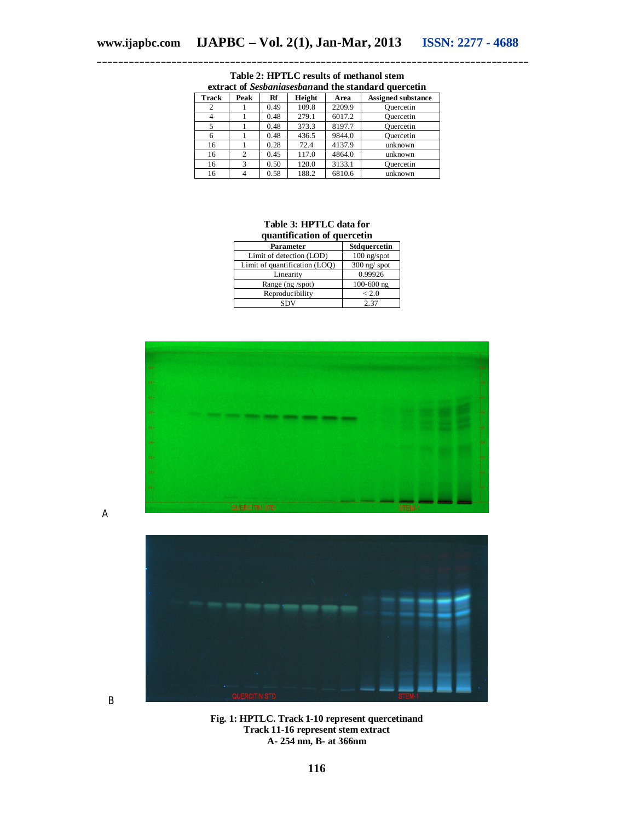| <b>Track</b> | Peak           | Rf   | Height | Area   | <b>Assigned substance</b> |
|--------------|----------------|------|--------|--------|---------------------------|
|              |                | 0.49 | 109.8  | 2209.9 | Quercetin                 |
|              |                | 0.48 | 279.1  | 6017.2 | Ouercetin                 |
|              |                | 0.48 | 373.3  | 8197.7 | Ouercetin                 |
| 6            |                | 0.48 | 436.5  | 9844.0 | Ouercetin                 |
| 16           |                | 0.28 | 72.4   | 4137.9 | unknown                   |
| 16           | $\overline{c}$ | 0.45 | 117.0  | 4864.0 | unknown                   |
| 16           | 3              | 0.50 | 120.0  | 3133.1 | Ouercetin                 |
| 16           |                | 0.58 | 188.2  | 6810.6 | unknown                   |

**Table 2: HPTLC results of methanol stem extract of** *Sesbaniasesban***and the standard quercetin**

#### **Table 3: HPTLC data for quantification of quercetin**

| quantification of querectin   |                |  |  |  |  |
|-------------------------------|----------------|--|--|--|--|
| Parameter                     | Stdquercetin   |  |  |  |  |
| Limit of detection (LOD)      | $100$ ng/spot  |  |  |  |  |
| Limit of quantification (LOQ) | $300$ ng/spot  |  |  |  |  |
| Linearity                     | 0.99926        |  |  |  |  |
| Range (ng /spot)              | $100 - 600$ ng |  |  |  |  |
| Reproducibility               | < 2.0          |  |  |  |  |
| SDV                           | 2.37           |  |  |  |  |



A

B



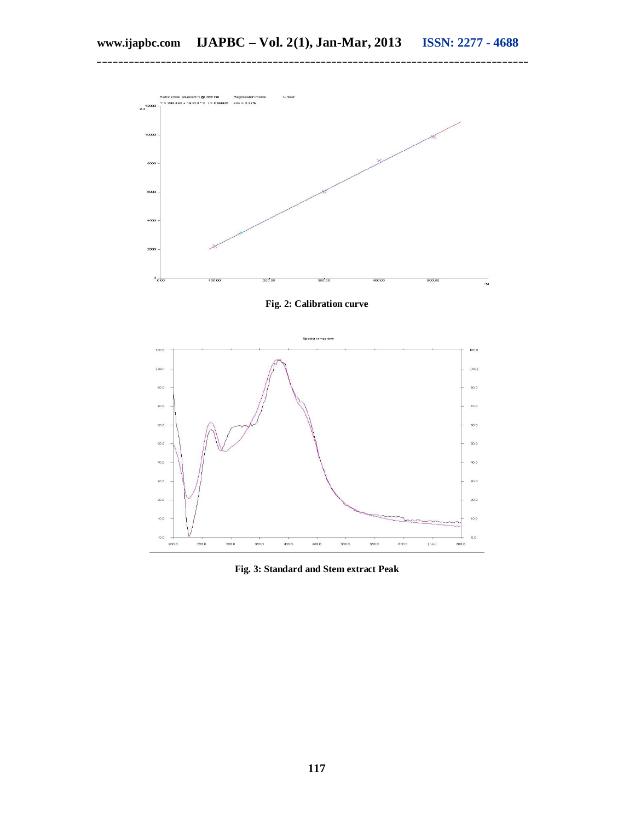**\_\_\_\_\_\_\_\_\_\_\_\_\_\_\_\_\_\_\_\_\_\_\_\_\_\_\_\_\_\_\_\_\_\_\_\_\_\_\_\_\_\_\_\_\_\_\_\_\_\_\_\_\_\_\_\_\_\_\_\_\_\_\_\_\_\_\_\_\_\_\_\_\_\_\_\_\_\_\_\_\_**



**Fig. 2: Calibration curve**



**Fig. 3: Standard and Stem extract Peak**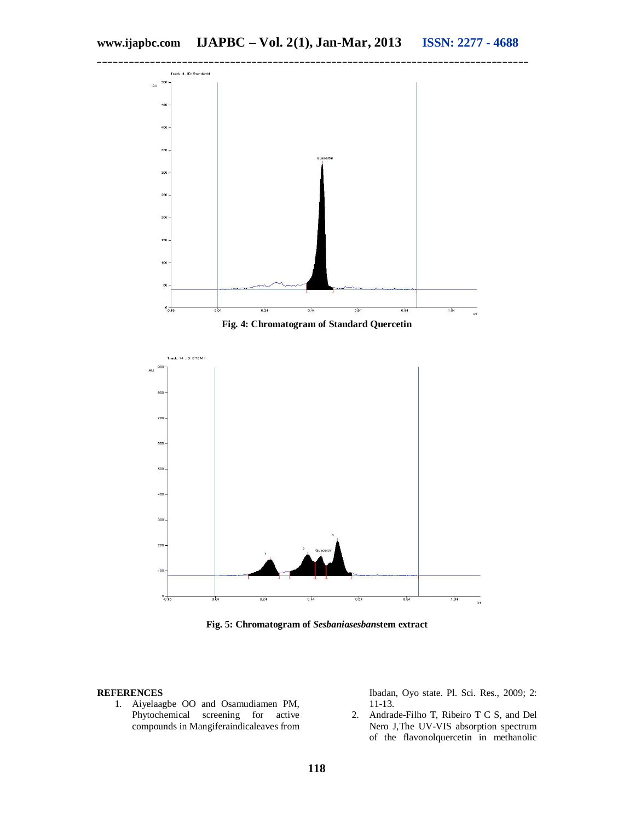

**Fig. 5: Chromatogram of** *Sesbaniasesban***stem extract**

#### **REFERENCES**

1. Aiyelaagbe OO and Osamudiamen PM, Phytochemical screening for active compounds in Mangiferaindicaleaves from Ibadan, Oyo state. Pl. Sci. Res., 2009; 2: 11-13.

2. Andrade-Filho T, Ribeiro T C S, and Del Nero J,The UV-VIS absorption spectrum of the flavonolquercetin in methanolic